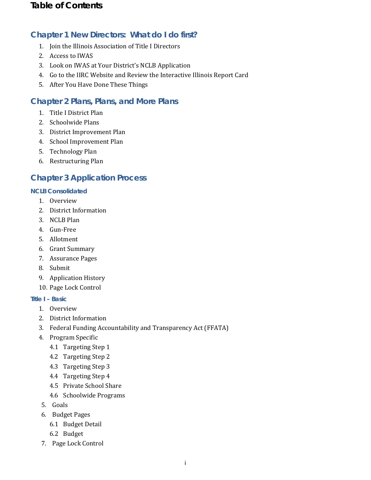## **Chapter 1 New Directors: What do I do first?**

- 1. Join the Illinois Association of Title I Directors
- 2. Access to IWAS
- 3. Look on IWAS at Your District's NCLB Application
- 4. Go to the IIRC Website and Review the Interactive Illinois Report Card
- 5. After You Have Done These Things

## **Chapter 2 Plans, Plans, and More Plans**

- 1. Title I District Plan
- 2. Schoolwide Plans
- 3. District Improvement Plan
- 4. School Improvement Plan
- 5. Technology Plan
- 6. Restructuring Plan

# **Chapter 3 Application Process**

#### **NCLB Consolidated**

- 1. Overview
- 2. District Information
- 3. NCLB Plan
- 4. Gun-Free
- 5. Allotment
- 6. Grant Summary
- 7. Assurance Pages
- 8. Submit
- 9. Application History
- 10. Page Lock Control

#### **Title I – Basic**

- 1. Overview
- 2. District Information
- 3. Federal Funding Accountability and Transparency Act (FFATA)
- 4. Program Specific
	- 4.1 Targeting Step 1
	- 4.2 Targeting Step 2
	- 4.3 Targeting Step 3
	- 4.4 Targeting Step 4
	- 4.5 Private School Share
	- 4.6 Schoolwide Programs
- 5. Goals
- 6. Budget Pages
	- 6.1 Budget Detail
	- 6.2 Budget
- 7. Page Lock Control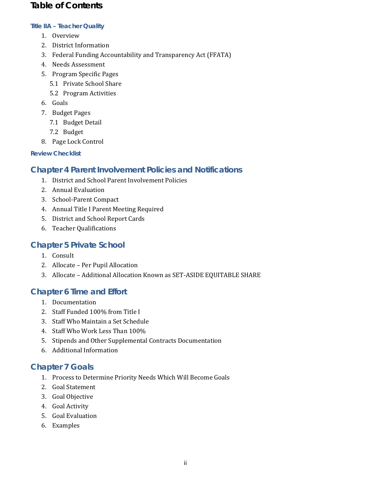#### *Title IIA – Teacher Quality*

- 1. Overview
- 2. District Information
- 3. Federal Funding Accountability and Transparency Act (FFATA)
- 4. Needs Assessment
- 5. Program Specific Pages
	- 5.1 Private School Share
	- 5.2 Program Activities
- 6. Goals
- 7. Budget Pages
	- 7.1 Budget Detail
	- 7.2 Budget
- 8. Page Lock Control

#### *Review Checklist*

### **Chapter 4 Parent Involvement Policies and Notifications**

- 1. District and School Parent Involvement Policies
- 2. Annual Evaluation
- 3. School-Parent Compact
- 4. Annual Title I Parent Meeting Required
- 5. District and School Report Cards
- 6. Teacher Qualifications

### **Chapter 5 Private School**

- 1. Consult
- 2. Allocate Per Pupil Allocation
- 3. Allocate Additional Allocation Known as SET-ASIDE EQUITABLE SHARE

### **Chapter 6 Time and Effort**

- 1. Documentation
- 2. Staff Funded 100% from Title I
- 3. Staff Who Maintain a Set Schedule
- 4. Staff Who Work Less Than 100%
- 5. Stipends and Other Supplemental Contracts Documentation
- 6. Additional Information

## **Chapter 7 Goals**

- 1. Process to Determine Priority Needs Which Will Become Goals
- 2. Goal Statement
- 3. Goal Objective
- 4. Goal Activity
- 5. Goal Evaluation
- 6. Examples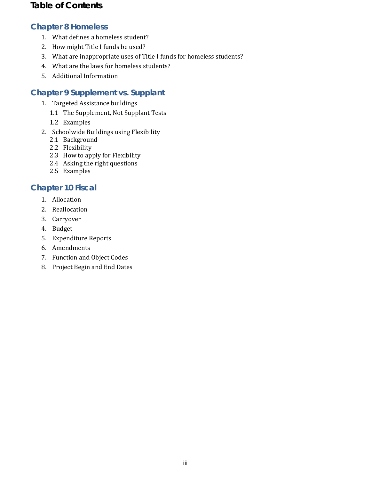## **Chapter 8 Homeless**

- 1. What defines a homeless student?
- 2. How might Title I funds be used?
- 3. What are inappropriate uses of Title I funds for homeless students?
- 4. What are the laws for homeless students?
- 5. Additional Information

## **Chapter 9 Supplement vs. Supplant**

- 1. Targeted Assistance buildings
	- 1.1 The Supplement, Not Supplant Tests
	- 1.2 Examples
- 2. Schoolwide Buildings using Flexibility
	- 2.1 Background
	- 2.2 Flexibility
	- 2.3 How to apply for Flexibility
	- 2.4 Asking the right questions
	- 2.5 Examples

# **Chapter 10 Fiscal**

- 1. Allocation
- 2. Reallocation
- 3. Carryover
- 4. Budget
- 5. Expenditure Reports
- 6. Amendments
- 7. Function and Object Codes
- 8. Project Begin and End Dates